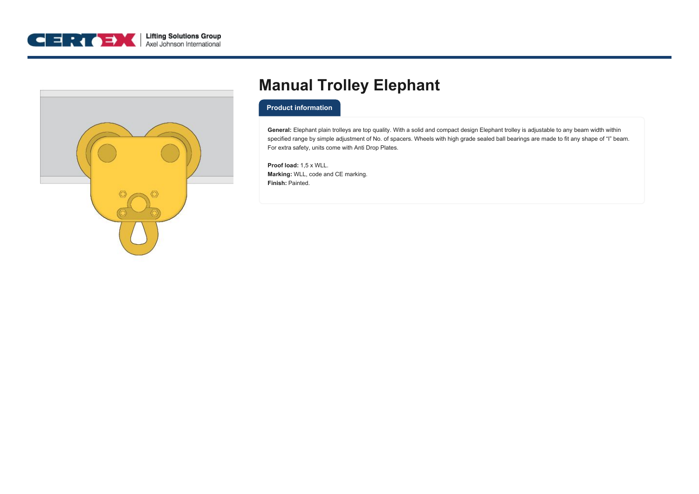



## **Manual Trolley Elephant**

## **Product information**

**General:** Elephant plain trolleys are top quality. With a solid and compact design Elephant trolley is adjustable to any beam width within specified range by simple adjustment of No. of spacers. Wheels with high grade sealed ball bearings are made to fit any shape of "I" beam. For extra safety, units come with Anti Drop Plates.

**Proof load:** 1,5 x WLL. **Marking:** WLL, code and CE marking. **Finish:** Painted.